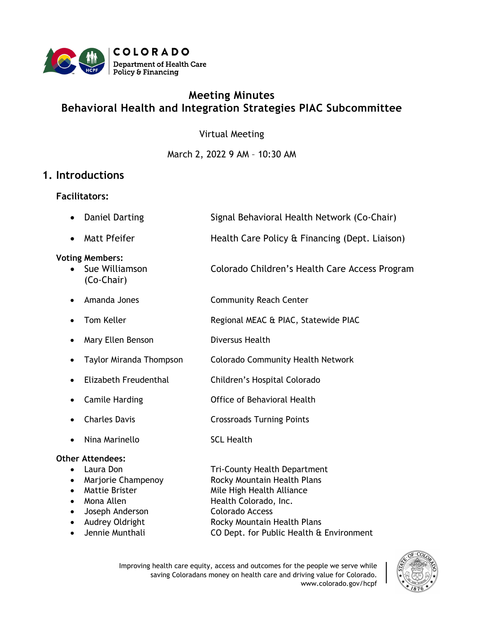

# **Meeting Minutes Behavioral Health and Integration Strategies PIAC Subcommittee**

Virtual Meeting

March 2, 2022 9 AM – 10:30 AM

## **1. Introductions**

#### **Facilitators:**

- Daniel Darting Signal Behavioral Health Network (Co-Chair)
- Matt Pfeifer **Health Care Policy & Financing (Dept. Liaison)**

#### **Voting Members:**

- Sue Williamson Colorado Children's Health Care Access Program (Co-Chair)
- Amanda Jones Community Reach Center
- Tom Keller **Regional MEAC & PIAC, Statewide PIAC**
- Mary Ellen Benson Diversus Health
	- Taylor Miranda Thompson Colorado Community Health Network
- Elizabeth Freudenthal Children's Hospital Colorado
- Camile Harding **Camile Harding** Office of Behavioral Health
- Charles Davis **Crossroads Turning Points**
- Nina Marinello SCL Health

#### **Other Attendees:**

- Laura Don Tri-County Health Department • Marjorie Champenoy Rocky Mountain Health Plans • Mattie Brister Mile High Health Alliance • Mona Allen Health Colorado, Inc.
- Joseph Anderson Colorado Access
- 
- 
- Audrey Oldright Rocky Mountain Health Plans • Jennie Munthali CO Dept. for Public Health & Environment

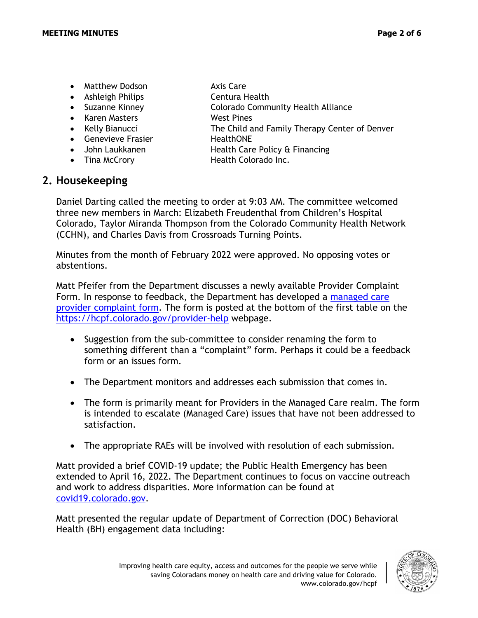- Matthew Dodson Axis Care
- Ashleigh Philips Centura Health
- 
- Karen Masters West Pines
- 
- Genevieve Frasier **HealthONE**
- 
- 
- **2. Housekeeping**
- -
- Suzanne Kinney Colorado Community Health Alliance
- Kelly Bianucci The Child and Family Therapy Center of Denver
	-
	- John Laukkanen **Health Care Policy & Financing**
- Tina McCrory **Health Colorado Inc.**

Daniel Darting called the meeting to order at 9:03 AM. The committee welcomed three new members in March: Elizabeth Freudenthal from Children's Hospital Colorado, Taylor Miranda Thompson from the Colorado Community Health Network (CCHN), and Charles Davis from Crossroads Turning Points.

Minutes from the month of February 2022 were approved. No opposing votes or abstentions.

Matt Pfeifer from the Department discusses a newly available Provider Complaint Form. In response to feedback, the Department has developed a [managed care](https://docs.google.com/forms/d/e/1FAIpQLSfBmXdALnrgrZbALjYc0dg43s8Q5Uqix28_X2Fvc-Q1qY-KRw/viewform)  [provider complaint](https://docs.google.com/forms/d/e/1FAIpQLSfBmXdALnrgrZbALjYc0dg43s8Q5Uqix28_X2Fvc-Q1qY-KRw/viewform) form. The form is posted at the bottom of the first table on the <https://hcpf.colorado.gov/provider-help> webpage.

- Suggestion from the sub-committee to consider renaming the form to something different than a "complaint" form. Perhaps it could be a feedback form or an issues form.
- The Department monitors and addresses each submission that comes in.
- The form is primarily meant for Providers in the Managed Care realm. The form is intended to escalate (Managed Care) issues that have not been addressed to satisfaction.
- The appropriate RAEs will be involved with resolution of each submission.

Matt provided a brief COVID-19 update; the Public Health Emergency has been extended to April 16, 2022. The Department continues to focus on vaccine outreach and work to address disparities. More information can be found at [covid19.colorado.gov.](https://covid19.colorado.gov/)

Matt presented the regular update of Department of Correction (DOC) Behavioral Health (BH) engagement data including:

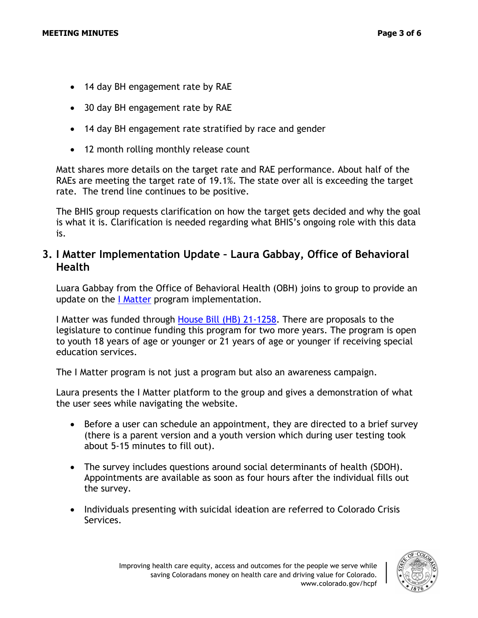- 14 day BH engagement rate by RAE
- 30 day BH engagement rate by RAE
- 14 day BH engagement rate stratified by race and gender
- 12 month rolling monthly release count

Matt shares more details on the target rate and RAE performance. About half of the RAEs are meeting the target rate of 19.1%. The state over all is exceeding the target rate. The trend line continues to be positive.

The BHIS group requests clarification on how the target gets decided and why the goal is what it is. Clarification is needed regarding what BHIS's ongoing role with this data is.

## **3. I Matter Implementation Update – Laura Gabbay, Office of Behavioral Health**

Luara Gabbay from the Office of Behavioral Health (OBH) joins to group to provide an update on the [I Matter](https://imattercolorado.org/) program implementation.

I Matter was funded through [House Bill \(HB\) 21-1258.](https://leg.colorado.gov/bills/hb21-1258) There are proposals to the legislature to continue funding this program for two more years. The program is open to youth 18 years of age or younger or 21 years of age or younger if receiving special education services.

The I Matter program is not just a program but also an awareness campaign.

Laura presents the I Matter platform to the group and gives a demonstration of what the user sees while navigating the website.

- Before a user can schedule an appointment, they are directed to a brief survey (there is a parent version and a youth version which during user testing took about 5-15 minutes to fill out).
- The survey includes questions around social determinants of health (SDOH). Appointments are available as soon as four hours after the individual fills out the survey.
- Individuals presenting with suicidal ideation are referred to Colorado Crisis Services.

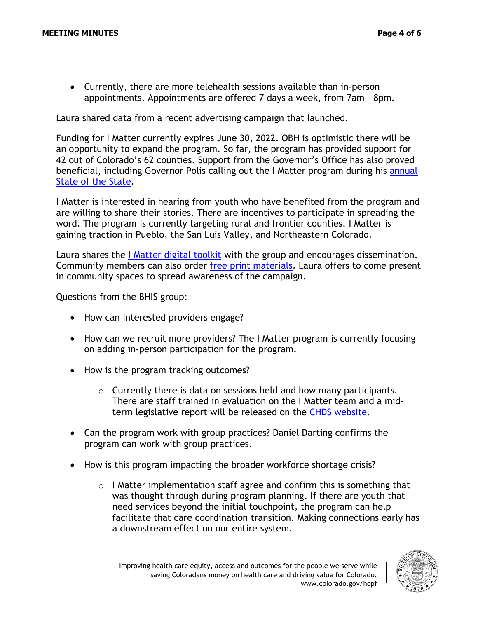• Currently, there are more telehealth sessions available than in-person appointments. Appointments are offered 7 days a week, from 7am – 8pm.

Laura shared data from a recent advertising campaign that launched.

Funding for I Matter currently expires June 30, 2022. OBH is optimistic there will be an opportunity to expand the program. So far, the program has provided support for 42 out of Colorado's 62 counties. Support from the Governor's Office has also proved beneficial, including Governor Polis calling out the I Matter program during his [annual](https://www.colorado.gov/governor/news/7081-governor-jared-polis-provides-hope-and-plan-save-coloradans-money-2022-state-state)  [State of the State.](https://www.colorado.gov/governor/news/7081-governor-jared-polis-provides-hope-and-plan-save-coloradans-money-2022-state-state)

I Matter is interested in hearing from youth who have benefited from the program and are willing to share their stories. There are incentives to participate in spreading the word. The program is currently targeting rural and frontier counties. I Matter is gaining traction in Pueblo, the San Luis Valley, and Northeastern Colorado.

Laura shares the [I Matter digital toolkit](https://www.dropbox.com/sh/o6zosn1qtgzegx7/AACk5CuGwJgpRB5RgyES543za?dl=0) with the group and encourages dissemination. Community members can also order [free print materials.](https://cdhs.colorado.gov/behavioral-health/i-matter-program) Laura offers to come present in community spaces to spread awareness of the campaign.

Questions from the BHIS group:

- How can interested providers engage?
- How can we recruit more providers? The I Matter program is currently focusing on adding in-person participation for the program.
- How is the program tracking outcomes?
	- $\circ$  Currently there is data on sessions held and how many participants. There are staff trained in evaluation on the I Matter team and a midterm legislative report will be released on the [CHDS website.](https://cdhs.colorado.gov/behavioral-health/i-matter-program)
- Can the program work with group practices? Daniel Darting confirms the program can work with group practices.
- How is this program impacting the broader workforce shortage crisis?
	- o I Matter implementation staff agree and confirm this is something that was thought through during program planning. If there are youth that need services beyond the initial touchpoint, the program can help facilitate that care coordination transition. Making connections early has a downstream effect on our entire system.

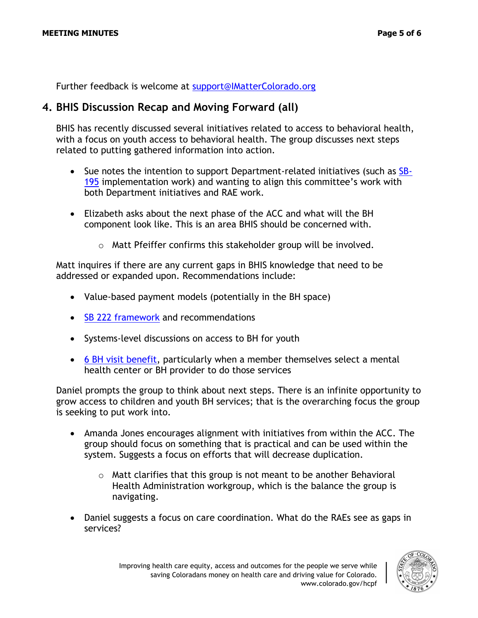Further feedback is welcome at [support@IMatterColorado.org](mailto:support@IMatterColorado.org)

### **4. BHIS Discussion Recap and Moving Forward (all)**

BHIS has recently discussed several initiatives related to access to behavioral health, with a focus on youth access to behavioral health. The group discusses next steps related to putting gathered information into action.

- Sue notes the intention to support Department-related initiatives (such as [SB-](https://leg.colorado.gov/bills/sb19-195)[195](https://leg.colorado.gov/bills/sb19-195) implementation work) and wanting to align this committee's work with both Department initiatives and RAE work.
- Elizabeth asks about the next phase of the ACC and what will the BH component look like. This is an area BHIS should be concerned with.
	- o Matt Pfeiffer confirms this stakeholder group will be involved.

Matt inquires if there are any current gaps in BHIS knowledge that need to be addressed or expanded upon. Recommendations include:

- Value-based payment models (potentially in the BH space)
- [SB 222 framework](https://leg.colorado.gov/bills/sb19-222) and recommendations
- Systems-level discussions on access to BH for youth
- [6 BH visit benefit,](https://hcpf.colorado.gov/behavioral-ffs) particularly when a member themselves select a mental health center or BH provider to do those services

Daniel prompts the group to think about next steps. There is an infinite opportunity to grow access to children and youth BH services; that is the overarching focus the group is seeking to put work into.

- Amanda Jones encourages alignment with initiatives from within the ACC. The group should focus on something that is practical and can be used within the system. Suggests a focus on efforts that will decrease duplication.
	- $\circ$  Matt clarifies that this group is not meant to be another Behavioral Health Administration workgroup, which is the balance the group is navigating.
- Daniel suggests a focus on care coordination. What do the RAEs see as gaps in services?